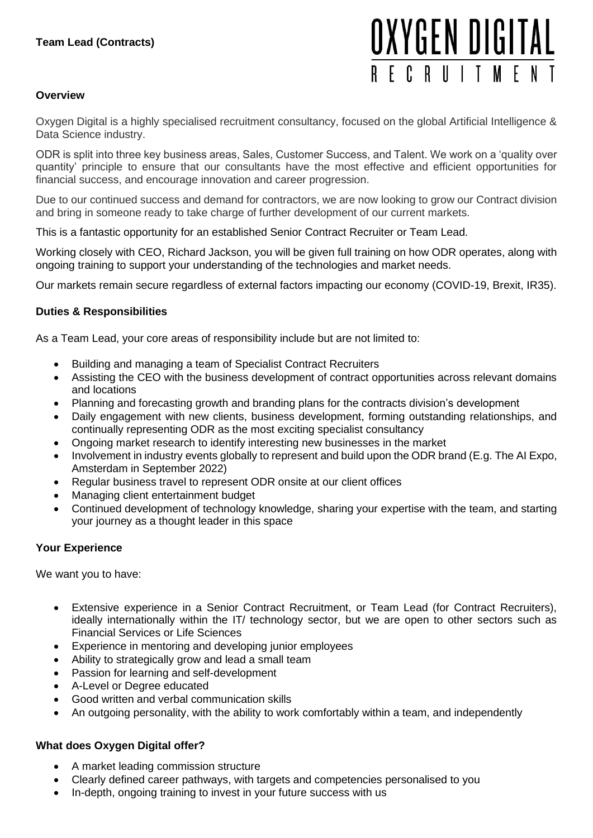# OXYGEN DIGITAL RFCRUITMFN

## **Overview**

Oxygen Digital is a highly specialised recruitment consultancy, focused on the global Artificial Intelligence & Data Science industry.

ODR is split into three key business areas, Sales, Customer Success, and Talent. We work on a 'quality over quantity' principle to ensure that our consultants have the most effective and efficient opportunities for financial success, and encourage innovation and career progression.

Due to our continued success and demand for contractors, we are now looking to grow our Contract division and bring in someone ready to take charge of further development of our current markets.

This is a fantastic opportunity for an established Senior Contract Recruiter or Team Lead.

Working closely with CEO, Richard Jackson, you will be given full training on how ODR operates, along with ongoing training to support your understanding of the technologies and market needs.

Our markets remain secure regardless of external factors impacting our economy (COVID-19, Brexit, IR35).

## **Duties & Responsibilities**

As a Team Lead, your core areas of responsibility include but are not limited to:

- Building and managing a team of Specialist Contract Recruiters
- Assisting the CEO with the business development of contract opportunities across relevant domains and locations
- Planning and forecasting growth and branding plans for the contracts division's development
- Daily engagement with new clients, business development, forming outstanding relationships, and continually representing ODR as the most exciting specialist consultancy
- Ongoing market research to identify interesting new businesses in the market
- Involvement in industry events globally to represent and build upon the ODR brand (E.g. The AI Expo, Amsterdam in September 2022)
- Regular business travel to represent ODR onsite at our client offices
- Managing client entertainment budget
- Continued development of technology knowledge, sharing your expertise with the team, and starting your journey as a thought leader in this space

## **Your Experience**

We want you to have:

- Extensive experience in a Senior Contract Recruitment, or Team Lead (for Contract Recruiters), ideally internationally within the IT/ technology sector, but we are open to other sectors such as Financial Services or Life Sciences
- Experience in mentoring and developing junior employees
- Ability to strategically grow and lead a small team
- Passion for learning and self-development
- A-Level or Degree educated
- Good written and verbal communication skills
- An outgoing personality, with the ability to work comfortably within a team, and independently

## **What does Oxygen Digital offer?**

- A market leading commission structure
- Clearly defined career pathways, with targets and competencies personalised to you
- In-depth, ongoing training to invest in your future success with us